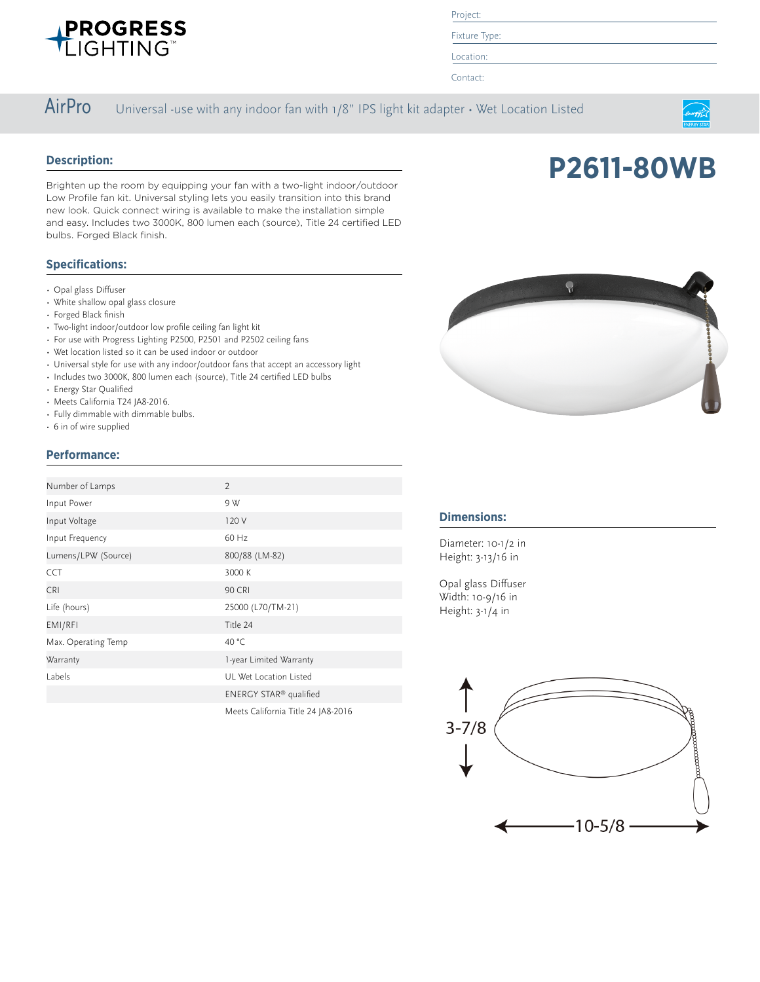

Project:

Fixture Type:

Location:

Contact:

### AirPro Universal -use with any indoor fan with 1/8" IPS light kit adapter • Wet Location Listed

### **Description:**

Brighten up the room by equipping your fan with a two-light indoor/outdoor Low Profile fan kit. Universal styling lets you easily transition into this brand new look. Quick connect wiring is available to make the installation simple and easy. Includes two 3000K, 800 lumen each (source), Title 24 certified LED bulbs. Forged Black finish.

### **Specifications:**

- Opal glass Diffuser
- White shallow opal glass closure
- Forged Black finish
- Two-light indoor/outdoor low profile ceiling fan light kit
- For use with Progress Lighting P2500, P2501 and P2502 ceiling fans
- Wet location listed so it can be used indoor or outdoor
- Universal style for use with any indoor/outdoor fans that accept an accessory light
- Includes two 3000K, 800 lumen each (source), Title 24 certified LED bulbs
- Energy Star Qualified
- Meets California T24 JA8-2016.
- Fully dimmable with dimmable bulbs.
- 6 in of wire supplied

### **Performance:**

| Number of Lamps     | $\overline{2}$                     |
|---------------------|------------------------------------|
| Input Power         | 9 W                                |
| Input Voltage       | 120 V                              |
| Input Frequency     | 60 Hz                              |
| Lumens/LPW (Source) | 800/88 (LM-82)                     |
| <b>CCT</b>          | 3000 K                             |
| <b>CRI</b>          | <b>90 CRI</b>                      |
| Life (hours)        | 25000 (L70/TM-21)                  |
| EMI/RFI             | Title 24                           |
| Max. Operating Temp | 40 °C                              |
| Warranty            | 1-year Limited Warranty            |
| Labels              | UL Wet Location Listed             |
|                     | ENERGY STAR <sup>®</sup> qualified |
|                     | Meets California Title 24 JA8-2016 |



### **Dimensions:**

Diameter: 10-1/2 in Height: 3-13/16 in

Opal glass Diffuser Width: 10-9/16 in Height: 3-1/4 in





**P2611-80WB**